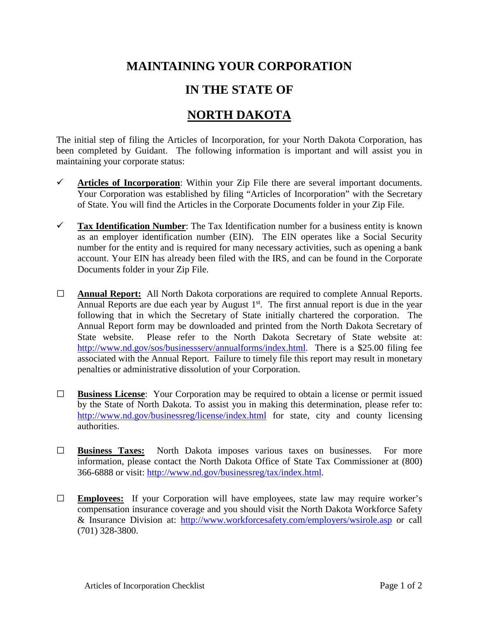## **MAINTAINING YOUR CORPORATION**

## **IN THE STATE OF**

## **NORTH DAKOTA**

The initial step of filing the Articles of Incorporation, for your North Dakota Corporation, has been completed by Guidant. The following information is important and will assist you in maintaining your corporate status:

- $\checkmark$  Articles of Incorporation: Within your Zip File there are several important documents. Your Corporation was established by filing "Articles of Incorporation" with the Secretary of State. You will find the Articles in the Corporate Documents folder in your Zip File.
- **Tax Identification Number**: The Tax Identification number for a business entity is known as an employer identification number (EIN). The EIN operates like a Social Security number for the entity and is required for many necessary activities, such as opening a bank account. Your EIN has already been filed with the IRS, and can be found in the Corporate Documents folder in your Zip File.
- **□ Annual Report:** All North Dakota corporations are required to complete Annual Reports. Annual Reports are due each year by August  $1<sup>st</sup>$ . The first annual report is due in the year following that in which the Secretary of State initially chartered the corporation. The Annual Report form may be downloaded and printed from the North Dakota Secretary of State website. Please refer to the North Dakota Secretary of State website at: [http://www.nd.gov/sos/businessserv/annualforms/index.html.](http://www.nd.gov/sos/businessserv/annualforms/index.html) There is a \$25.00 filing fee associated with the Annual Report. Failure to timely file this report may result in monetary penalties or administrative dissolution of your Corporation.
- **□ Business License**: Your Corporation may be required to obtain a license or permit issued by the State of North Dakota. To assist you in making this determination, please refer to: <http://www.nd.gov/businessreg/license/index.html> for state, city and county licensing authorities.
- **□ Business Taxes:** North Dakota imposes various taxes on businesses. For more information, please contact the North Dakota Office of State Tax Commissioner at (800) 366-6888 or visit: [http://www.nd.gov/businessreg/tax/index.html.](http://www.nd.gov/businessreg/tax/index.html)
- **□ Employees:** If your Corporation will have employees, state law may require worker's compensation insurance coverage and you should visit the North Dakota Workforce Safety & Insurance Division at: <http://www.workforcesafety.com/employers/wsirole.asp> or call (701) 328-3800.